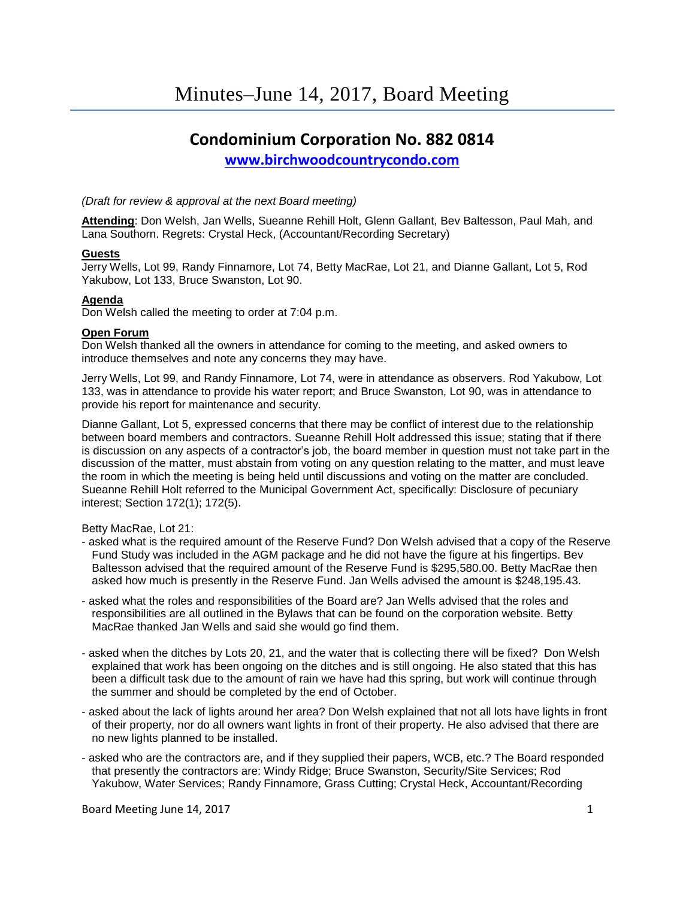# **Condominium Corporation No. 882 0814**

**[www.birchwoodcountrycondo.com](http://www.birchwoodcountrycondo.com/)**

## *(Draft for review & approval at the next Board meeting)*

**Attending**: Don Welsh, Jan Wells, Sueanne Rehill Holt, Glenn Gallant, Bev Baltesson, Paul Mah, and Lana Southorn. Regrets: Crystal Heck, (Accountant/Recording Secretary)

## **Guests**

Jerry Wells, Lot 99, Randy Finnamore, Lot 74, Betty MacRae, Lot 21, and Dianne Gallant, Lot 5, Rod Yakubow, Lot 133, Bruce Swanston, Lot 90.

## **Agenda**

Don Welsh called the meeting to order at 7:04 p.m.

## **Open Forum**

Don Welsh thanked all the owners in attendance for coming to the meeting, and asked owners to introduce themselves and note any concerns they may have.

Jerry Wells, Lot 99, and Randy Finnamore, Lot 74, were in attendance as observers. Rod Yakubow, Lot 133, was in attendance to provide his water report; and Bruce Swanston, Lot 90, was in attendance to provide his report for maintenance and security.

Dianne Gallant, Lot 5, expressed concerns that there may be conflict of interest due to the relationship between board members and contractors. Sueanne Rehill Holt addressed this issue; stating that if there is discussion on any aspects of a contractor's job, the board member in question must not take part in the discussion of the matter, must abstain from voting on any question relating to the matter, and must leave the room in which the meeting is being held until discussions and voting on the matter are concluded. Sueanne Rehill Holt referred to the Municipal Government Act, specifically: Disclosure of pecuniary interest; Section 172(1); 172(5).

Betty MacRae, Lot 21:

- asked what is the required amount of the Reserve Fund? Don Welsh advised that a copy of the Reserve Fund Study was included in the AGM package and he did not have the figure at his fingertips. Bev Baltesson advised that the required amount of the Reserve Fund is \$295,580.00. Betty MacRae then asked how much is presently in the Reserve Fund. Jan Wells advised the amount is \$248,195.43.
- asked what the roles and responsibilities of the Board are? Jan Wells advised that the roles and responsibilities are all outlined in the Bylaws that can be found on the corporation website. Betty MacRae thanked Jan Wells and said she would go find them.
- asked when the ditches by Lots 20, 21, and the water that is collecting there will be fixed? Don Welsh explained that work has been ongoing on the ditches and is still ongoing. He also stated that this has been a difficult task due to the amount of rain we have had this spring, but work will continue through the summer and should be completed by the end of October.
- asked about the lack of lights around her area? Don Welsh explained that not all lots have lights in front of their property, nor do all owners want lights in front of their property. He also advised that there are no new lights planned to be installed.
- asked who are the contractors are, and if they supplied their papers, WCB, etc.? The Board responded that presently the contractors are: Windy Ridge; Bruce Swanston, Security/Site Services; Rod Yakubow, Water Services; Randy Finnamore, Grass Cutting; Crystal Heck, Accountant/Recording

Board Meeting June 14, 2017 1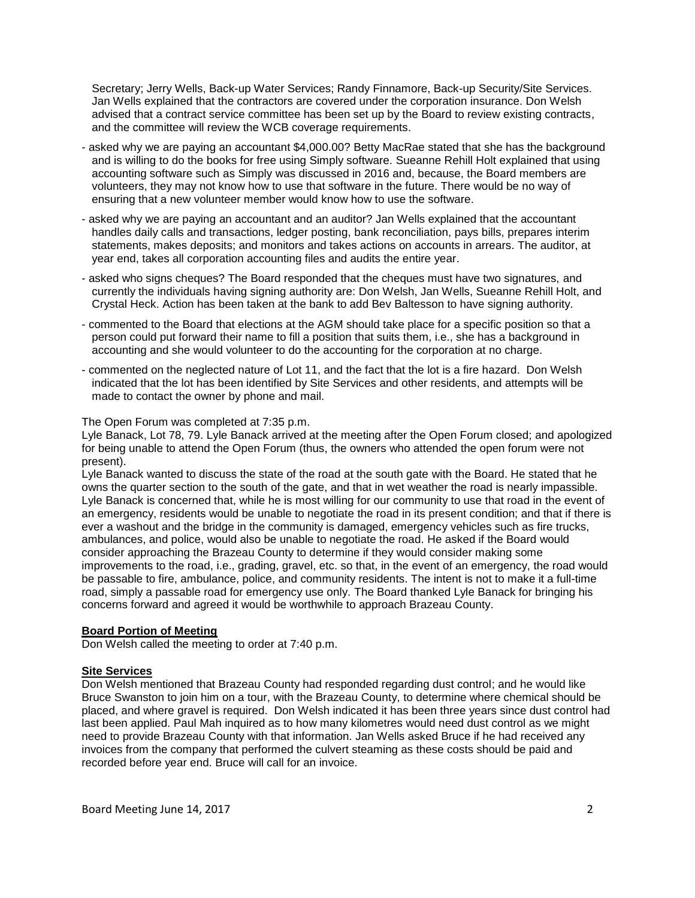Secretary; Jerry Wells, Back-up Water Services; Randy Finnamore, Back-up Security/Site Services. Jan Wells explained that the contractors are covered under the corporation insurance. Don Welsh advised that a contract service committee has been set up by the Board to review existing contracts, and the committee will review the WCB coverage requirements.

- asked why we are paying an accountant \$4,000.00? Betty MacRae stated that she has the background and is willing to do the books for free using Simply software. Sueanne Rehill Holt explained that using accounting software such as Simply was discussed in 2016 and, because, the Board members are volunteers, they may not know how to use that software in the future. There would be no way of ensuring that a new volunteer member would know how to use the software.
- asked why we are paying an accountant and an auditor? Jan Wells explained that the accountant handles daily calls and transactions, ledger posting, bank reconciliation, pays bills, prepares interim statements, makes deposits; and monitors and takes actions on accounts in arrears. The auditor, at year end, takes all corporation accounting files and audits the entire year.
- asked who signs cheques? The Board responded that the cheques must have two signatures, and currently the individuals having signing authority are: Don Welsh, Jan Wells, Sueanne Rehill Holt, and Crystal Heck. Action has been taken at the bank to add Bev Baltesson to have signing authority.
- commented to the Board that elections at the AGM should take place for a specific position so that a person could put forward their name to fill a position that suits them, i.e., she has a background in accounting and she would volunteer to do the accounting for the corporation at no charge.
- commented on the neglected nature of Lot 11, and the fact that the lot is a fire hazard. Don Welsh indicated that the lot has been identified by Site Services and other residents, and attempts will be made to contact the owner by phone and mail.

The Open Forum was completed at 7:35 p.m.

Lyle Banack, Lot 78, 79. Lyle Banack arrived at the meeting after the Open Forum closed; and apologized for being unable to attend the Open Forum (thus, the owners who attended the open forum were not present).

Lyle Banack wanted to discuss the state of the road at the south gate with the Board. He stated that he owns the quarter section to the south of the gate, and that in wet weather the road is nearly impassible. Lyle Banack is concerned that, while he is most willing for our community to use that road in the event of an emergency, residents would be unable to negotiate the road in its present condition; and that if there is ever a washout and the bridge in the community is damaged, emergency vehicles such as fire trucks, ambulances, and police, would also be unable to negotiate the road. He asked if the Board would consider approaching the Brazeau County to determine if they would consider making some improvements to the road, i.e., grading, gravel, etc. so that, in the event of an emergency, the road would be passable to fire, ambulance, police, and community residents. The intent is not to make it a full-time road, simply a passable road for emergency use only. The Board thanked Lyle Banack for bringing his concerns forward and agreed it would be worthwhile to approach Brazeau County.

## **Board Portion of Meeting**

Don Welsh called the meeting to order at 7:40 p.m.

## **Site Services**

Don Welsh mentioned that Brazeau County had responded regarding dust control; and he would like Bruce Swanston to join him on a tour, with the Brazeau County, to determine where chemical should be placed, and where gravel is required. Don Welsh indicated it has been three years since dust control had last been applied. Paul Mah inquired as to how many kilometres would need dust control as we might need to provide Brazeau County with that information. Jan Wells asked Bruce if he had received any invoices from the company that performed the culvert steaming as these costs should be paid and recorded before year end. Bruce will call for an invoice.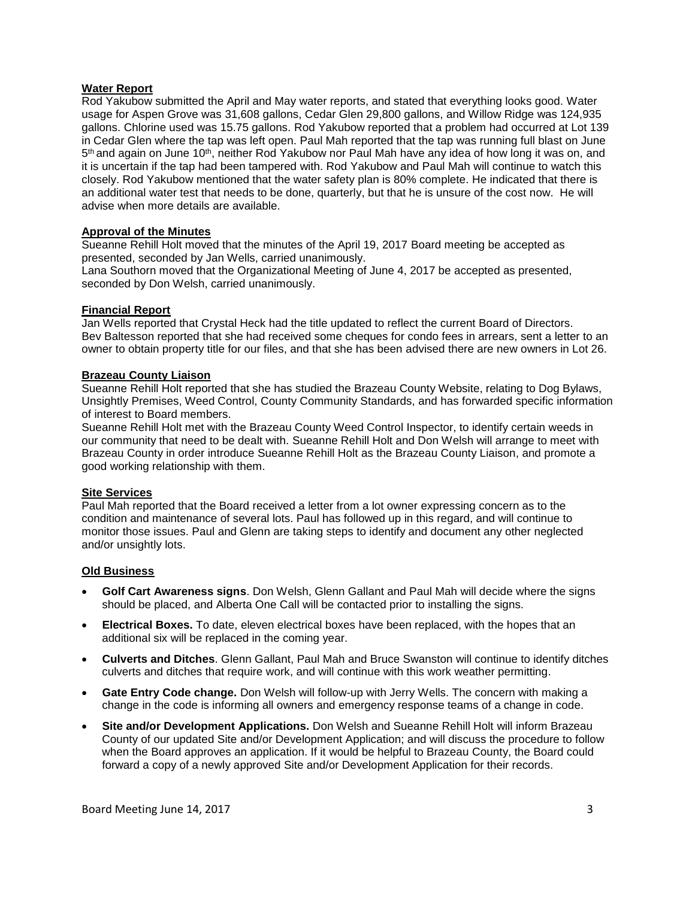### **Water Report**

Rod Yakubow submitted the April and May water reports, and stated that everything looks good. Water usage for Aspen Grove was 31,608 gallons, Cedar Glen 29,800 gallons, and Willow Ridge was 124,935 gallons. Chlorine used was 15.75 gallons. Rod Yakubow reported that a problem had occurred at Lot 139 in Cedar Glen where the tap was left open. Paul Mah reported that the tap was running full blast on June 5<sup>th</sup> and again on June 10<sup>th</sup>, neither Rod Yakubow nor Paul Mah have any idea of how long it was on, and it is uncertain if the tap had been tampered with. Rod Yakubow and Paul Mah will continue to watch this closely. Rod Yakubow mentioned that the water safety plan is 80% complete. He indicated that there is an additional water test that needs to be done, quarterly, but that he is unsure of the cost now. He will advise when more details are available.

#### **Approval of the Minutes**

Sueanne Rehill Holt moved that the minutes of the April 19, 2017 Board meeting be accepted as presented, seconded by Jan Wells, carried unanimously.

Lana Southorn moved that the Organizational Meeting of June 4, 2017 be accepted as presented, seconded by Don Welsh, carried unanimously.

#### **Financial Report**

Jan Wells reported that Crystal Heck had the title updated to reflect the current Board of Directors. Bev Baltesson reported that she had received some cheques for condo fees in arrears, sent a letter to an owner to obtain property title for our files, and that she has been advised there are new owners in Lot 26.

## **Brazeau County Liaison**

Sueanne Rehill Holt reported that she has studied the Brazeau County Website, relating to Dog Bylaws, Unsightly Premises, Weed Control, County Community Standards, and has forwarded specific information of interest to Board members.

Sueanne Rehill Holt met with the Brazeau County Weed Control Inspector, to identify certain weeds in our community that need to be dealt with. Sueanne Rehill Holt and Don Welsh will arrange to meet with Brazeau County in order introduce Sueanne Rehill Holt as the Brazeau County Liaison, and promote a good working relationship with them.

#### **Site Services**

Paul Mah reported that the Board received a letter from a lot owner expressing concern as to the condition and maintenance of several lots. Paul has followed up in this regard, and will continue to monitor those issues. Paul and Glenn are taking steps to identify and document any other neglected and/or unsightly lots.

#### **Old Business**

- **Golf Cart Awareness signs**. Don Welsh, Glenn Gallant and Paul Mah will decide where the signs should be placed, and Alberta One Call will be contacted prior to installing the signs.
- **Electrical Boxes.** To date, eleven electrical boxes have been replaced, with the hopes that an additional six will be replaced in the coming year.
- **Culverts and Ditches**. Glenn Gallant, Paul Mah and Bruce Swanston will continue to identify ditches culverts and ditches that require work, and will continue with this work weather permitting.
- **Gate Entry Code change.** Don Welsh will follow-up with Jerry Wells. The concern with making a change in the code is informing all owners and emergency response teams of a change in code.
- **Site and/or Development Applications.** Don Welsh and Sueanne Rehill Holt will inform Brazeau County of our updated Site and/or Development Application; and will discuss the procedure to follow when the Board approves an application. If it would be helpful to Brazeau County, the Board could forward a copy of a newly approved Site and/or Development Application for their records.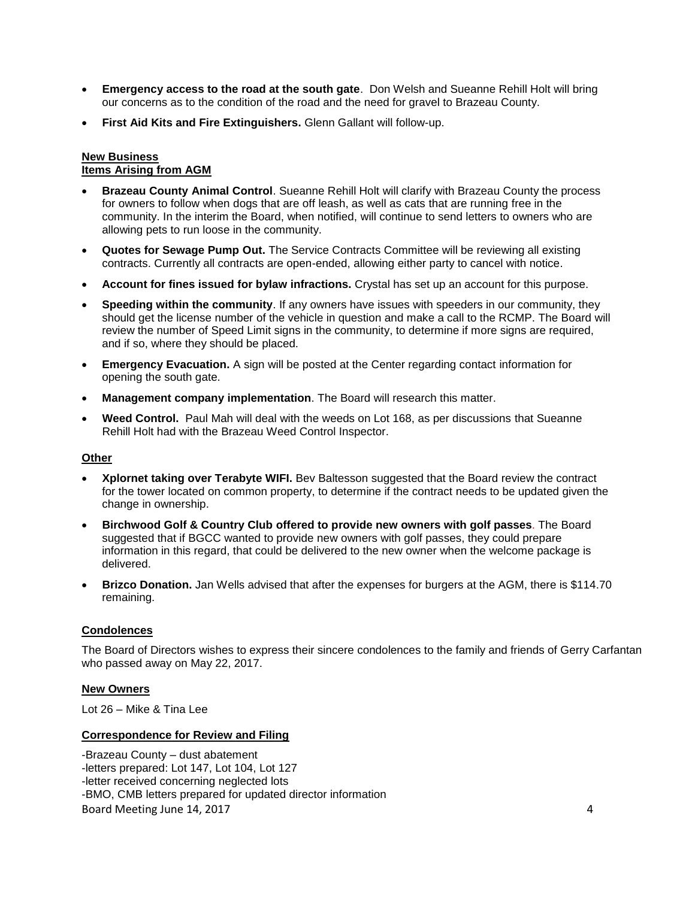- **Emergency access to the road at the south gate**. Don Welsh and Sueanne Rehill Holt will bring our concerns as to the condition of the road and the need for gravel to Brazeau County.
- **First Aid Kits and Fire Extinguishers.** Glenn Gallant will follow-up.

## **New Business**

## **Items Arising from AGM**

- **Brazeau County Animal Control**. Sueanne Rehill Holt will clarify with Brazeau County the process for owners to follow when dogs that are off leash, as well as cats that are running free in the community. In the interim the Board, when notified, will continue to send letters to owners who are allowing pets to run loose in the community.
- **Quotes for Sewage Pump Out.** The Service Contracts Committee will be reviewing all existing contracts. Currently all contracts are open-ended, allowing either party to cancel with notice.
- **Account for fines issued for bylaw infractions.** Crystal has set up an account for this purpose.
- **Speeding within the community**. If any owners have issues with speeders in our community, they should get the license number of the vehicle in question and make a call to the RCMP. The Board will review the number of Speed Limit signs in the community, to determine if more signs are required, and if so, where they should be placed.
- **Emergency Evacuation.** A sign will be posted at the Center regarding contact information for opening the south gate.
- **Management company implementation**. The Board will research this matter.
- **Weed Control.** Paul Mah will deal with the weeds on Lot 168, as per discussions that Sueanne Rehill Holt had with the Brazeau Weed Control Inspector.

## **Other**

- **Xplornet taking over Terabyte WIFI.** Bev Baltesson suggested that the Board review the contract for the tower located on common property, to determine if the contract needs to be updated given the change in ownership.
- **Birchwood Golf & Country Club offered to provide new owners with golf passes**. The Board suggested that if BGCC wanted to provide new owners with golf passes, they could prepare information in this regard, that could be delivered to the new owner when the welcome package is delivered.
- **Brizco Donation.** Jan Wells advised that after the expenses for burgers at the AGM, there is \$114.70 remaining.

## **Condolences**

The Board of Directors wishes to express their sincere condolences to the family and friends of Gerry Carfantan who passed away on May 22, 2017.

## **New Owners**

Lot 26 – Mike & Tina Lee

## **Correspondence for Review and Filing**

Board Meeting June 14, 2017 **4** and the set of the set of the set of the set of the set of the set of the set of the set of the set of the set of the set of the set of the set of the set of the set of the set of the set of -Brazeau County – dust abatement -letters prepared: Lot 147, Lot 104, Lot 127 -letter received concerning neglected lots -BMO, CMB letters prepared for updated director information